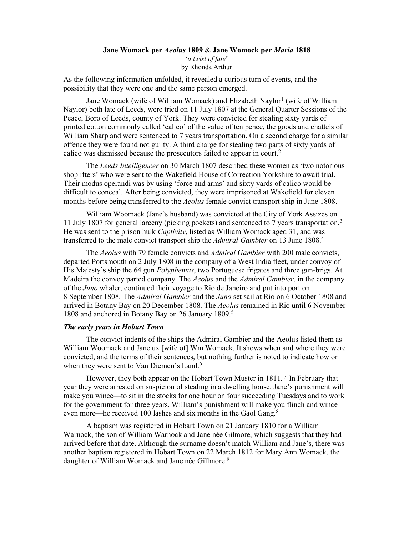# Jane Womack per Aeolus 1809 & Jane Womock per Maria 1818 'a twist of fate' by Rhonda Arthur

As the following information unfolded, it revealed a curious turn of events, and the possibility that they were one and the same person emerged.

Jane Womack (wife of William Womack) and Elizabeth Naylor<sup>1</sup> (wife of William Naylor) both late of Leeds, were tried on 11 July 1807 at the General Quarter Sessions of the Peace, Boro of Leeds, county of York. They were convicted for stealing sixty yards of printed cotton commonly called 'calico' of the value of ten pence, the goods and chattels of William Sharp and were sentenced to 7 years transportation. On a second charge for a similar offence they were found not guilty. A third charge for stealing two parts of sixty yards of calico was dismissed because the prosecutors failed to appear in court.<sup>2</sup>

 The Leeds Intelligencer on 30 March 1807 described these women as 'two notorious shoplifters' who were sent to the Wakefield House of Correction Yorkshire to await trial. Their modus operandi was by using 'force and arms' and sixty yards of calico would be difficult to conceal. After being convicted, they were imprisoned at Wakefield for eleven months before being transferred to the *Aeolus* female convict transport ship in June 1808.

 William Woomack (Jane's husband) was convicted at the City of York Assizes on 11 July 1807 for general larceny (picking pockets) and sentenced to 7 years transportation.<sup>3</sup> He was sent to the prison hulk *Captivity*, listed as William Womack aged 31, and was transferred to the male convict transport ship the Admiral Gambier on 13 June 1808.<sup>4</sup>

The Aeolus with 79 female convicts and Admiral Gambier with 200 male convicts, departed Portsmouth on 2 July 1808 in the company of a West India fleet, under convoy of His Majesty's ship the 64 gun *Polyphemus*, two Portuguese frigates and three gun-brigs. At Madeira the convoy parted company. The *Aeolus* and the *Admiral Gambier*, in the company of the Juno whaler, continued their voyage to Rio de Janeiro and put into port on 8 September 1808. The Admiral Gambier and the Juno set sail at Rio on 6 October 1808 and arrived in Botany Bay on 20 December 1808. The Aeolus remained in Rio until 6 November 1808 and anchored in Botany Bay on 26 January 1809.<sup>5</sup>

### The early years in Hobart Town

 The convict indents of the ships the Admiral Gambier and the Aeolus listed them as William Woomack and Jane ux [wife of] Wm Womack. It shows when and where they were convicted, and the terms of their sentences, but nothing further is noted to indicate how or when they were sent to Van Diemen's Land.<sup>6</sup>

 However, they both appear on the Hobart Town Muster in 1811. 7 In February that year they were arrested on suspicion of stealing in a dwelling house. Jane's punishment will make you wince—to sit in the stocks for one hour on four succeeding Tuesdays and to work for the government for three years. William's punishment will make you flinch and wince even more—he received 100 lashes and six months in the Gaol Gang.<sup>8</sup>

 A baptism was registered in Hobart Town on 21 January 1810 for a William Warnock, the son of William Warnock and Jane née Gilmore, which suggests that they had arrived before that date. Although the surname doesn't match William and Jane's, there was another baptism registered in Hobart Town on 22 March 1812 for Mary Ann Womack, the daughter of William Womack and Jane née Gillmore.<sup>9</sup>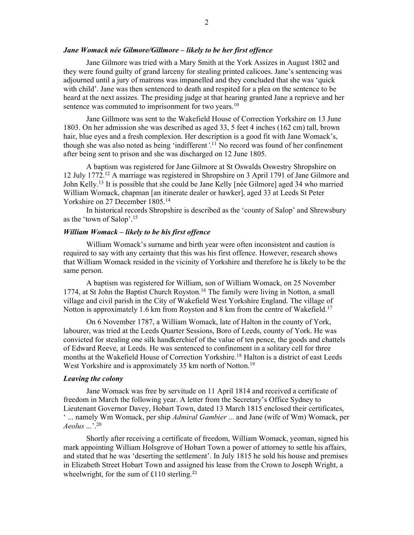#### Jane Womack née Gilmore/Gillmore – likely to be her first offence

 Jane Gilmore was tried with a Mary Smith at the York Assizes in August 1802 and they were found guilty of grand larceny for stealing printed calicoes. Jane's sentencing was adjourned until a jury of matrons was impanelled and they concluded that she was 'quick with child'. Jane was then sentenced to death and respited for a plea on the sentence to be heard at the next assizes. The presiding judge at that hearing granted Jane a reprieve and her sentence was commuted to imprisonment for two years.<sup>10</sup>

 Jane Gillmore was sent to the Wakefield House of Correction Yorkshire on 13 June 1803. On her admission she was described as aged 33, 5 feet 4 inches (162 cm) tall, brown hair, blue eyes and a fresh complexion. Her description is a good fit with Jane Womack's, though she was also noted as being 'indifferent'.<sup>11</sup> No record was found of her confinement after being sent to prison and she was discharged on 12 June 1805.

 A baptism was registered for Jane Gilmore at St Oswalds Oswestry Shropshire on 12 July 1772.<sup>12</sup> A marriage was registered in Shropshire on 3 April 1791 of Jane Gilmore and John Kelly.<sup>13</sup> It is possible that she could be Jane Kelly [née Gilmore] aged 34 who married William Womack, chapman [an itinerate dealer or hawker], aged 33 at Leeds St Peter Yorkshire on 27 December 1805.<sup>14</sup>

 In historical records Shropshire is described as the 'county of Salop' and Shrewsbury as the 'town of Salop'.<sup>15</sup>

#### William Womack – likely to be his first offence

 William Womack's surname and birth year were often inconsistent and caution is required to say with any certainty that this was his first offence. However, research shows that William Womack resided in the vicinity of Yorkshire and therefore he is likely to be the same person.

 A baptism was registered for William, son of William Womack, on 25 November 1774, at St John the Baptist Church Royston.<sup>16</sup> The family were living in Notton, a small village and civil parish in the City of Wakefield West Yorkshire England. The village of Notton is approximately 1.6 km from Royston and 8 km from the centre of Wakefield.<sup>17</sup>

On 6 November 1787, a William Womack, late of Halton in the county of York, labourer, was tried at the Leeds Quarter Sessions, Boro of Leeds, county of York. He was convicted for stealing one silk handkerchief of the value of ten pence, the goods and chattels of Edward Reeve, at Leeds. He was sentenced to confinement in a solitary cell for three months at the Wakefield House of Correction Yorkshire.<sup>18</sup> Halton is a district of east Leeds West Yorkshire and is approximately 35 km north of Notton.<sup>19</sup>

### Leaving the colony

 Jane Womack was free by servitude on 11 April 1814 and received a certificate of freedom in March the following year. A letter from the Secretary's Office Sydney to Lieutenant Governor Davey, Hobart Town, dated 13 March 1815 enclosed their certificates,  $\cdot$  ... namely Wm Womack, per ship *Admiral Gambier* ... and Jane (wife of Wm) Womack, per  $Aeolus$   $\ldots$ <sup>20</sup>

 Shortly after receiving a certificate of freedom, William Womack, yeoman, signed his mark appointing William Holsgrove of Hobart Town a power of attorney to settle his affairs, and stated that he was 'deserting the settlement'. In July 1815 he sold his house and premises in Elizabeth Street Hobart Town and assigned his lease from the Crown to Joseph Wright, a wheelwright, for the sum of £110 sterling.<sup>21</sup>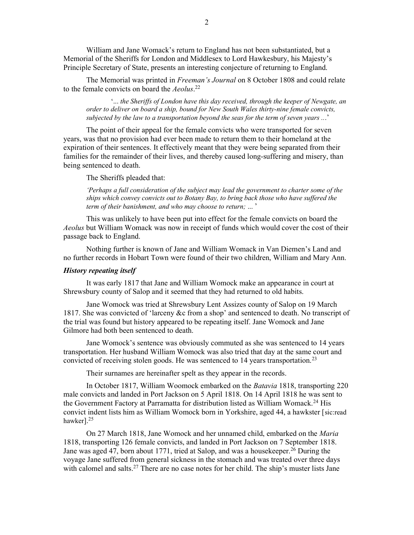William and Jane Womack's return to England has not been substantiated, but a Memorial of the Sheriffs for London and Middlesex to Lord Hawkesbury, his Majesty's Principle Secretary of State, presents an interesting conjecture of returning to England.

 The Memorial was printed in Freeman's Journal on 8 October 1808 and could relate to the female convicts on board the *Aeolus*.<sup>22</sup>

 '... the Sheriffs of London have this day received, through the keeper of Newgate, an order to deliver on board a ship, bound for New South Wales thirty-nine female convicts, subjected by the law to a transportation beyond the seas for the term of seven years ...'

The point of their appeal for the female convicts who were transported for seven years, was that no provision had ever been made to return them to their homeland at the expiration of their sentences. It effectively meant that they were being separated from their families for the remainder of their lives, and thereby caused long-suffering and misery, than being sentenced to death.

The Sheriffs pleaded that:

'Perhaps a full consideration of the subject may lead the government to charter some of the ships which convey convicts out to Botany Bay, to bring back those who have suffered the term of their banishment, and who may choose to return; ... '

 This was unlikely to have been put into effect for the female convicts on board the Aeolus but William Womack was now in receipt of funds which would cover the cost of their passage back to England.

 Nothing further is known of Jane and William Womack in Van Diemen's Land and no further records in Hobart Town were found of their two children, William and Mary Ann.

#### History repeating itself

 It was early 1817 that Jane and William Womock make an appearance in court at Shrewsbury county of Salop and it seemed that they had returned to old habits.

Jane Womock was tried at Shrewsbury Lent Assizes county of Salop on 19 March 1817. She was convicted of 'larceny &c from a shop' and sentenced to death. No transcript of the trial was found but history appeared to be repeating itself. Jane Womock and Jane Gilmore had both been sentenced to death.

 Jane Womock's sentence was obviously commuted as she was sentenced to 14 years transportation. Her husband William Womock was also tried that day at the same court and convicted of receiving stolen goods. He was sentenced to 14 years transportation.<sup>23</sup>

Their surnames are hereinafter spelt as they appear in the records.

 In October 1817, William Woomock embarked on the Batavia 1818, transporting 220 male convicts and landed in Port Jackson on 5 April 1818. On 14 April 1818 he was sent to the Government Factory at Parramatta for distribution listed as William Womack.<sup>24</sup> His convict indent lists him as William Womock born in Yorkshire, aged 44, a hawkster [sic:read hawker].<sup>25</sup>

 On 27 March 1818, Jane Womock and her unnamed child, embarked on the Maria 1818, transporting 126 female convicts, and landed in Port Jackson on 7 September 1818. Jane was aged 47, born about 1771, tried at Salop, and was a housekeeper.<sup>26</sup> During the voyage Jane suffered from general sickness in the stomach and was treated over three days with calomel and salts.<sup>27</sup> There are no case notes for her child. The ship's muster lists Jane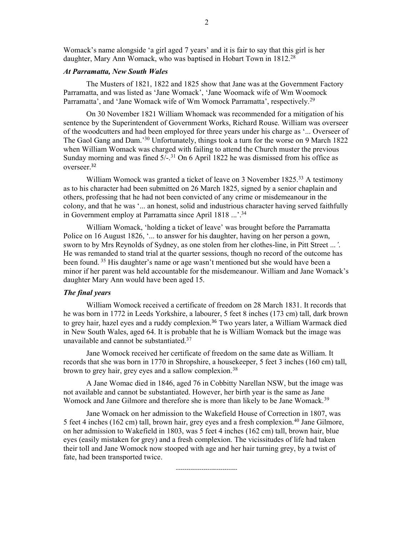Womack's name alongside 'a girl aged 7 years' and it is fair to say that this girl is her daughter, Mary Ann Womack, who was baptised in Hobart Town in 1812.<sup>28</sup>

## At Parramatta, New South Wales

The Musters of 1821, 1822 and 1825 show that Jane was at the Government Factory Parramatta, and was listed as 'Jane Womack', 'Jane Woomack wife of Wm Woomock Parramatta', and 'Jane Womack wife of Wm Womock Parramatta', respectively.<sup>29</sup>

 On 30 November 1821 William Whomack was recommended for a mitigation of his sentence by the Superintendent of Government Works, Richard Rouse. William was overseer of the woodcutters and had been employed for three years under his charge as '... Overseer of The Gaol Gang and Dam.<sup>30</sup> Unfortunately, things took a turn for the worse on 9 March 1822 when William Womack was charged with failing to attend the Church muster the previous Sunday morning and was fined  $5/-$ .<sup>31</sup> On 6 April 1822 he was dismissed from his office as overseer. 32

William Womock was granted a ticket of leave on 3 November 1825.<sup>33</sup> A testimony as to his character had been submitted on 26 March 1825, signed by a senior chaplain and others, professing that he had not been convicted of any crime or misdemeanour in the colony, and that he was '... an honest, solid and industrious character having served faithfully in Government employ at Parramatta since April 1818 ...'.<sup>34</sup>

 William Womack, 'holding a ticket of leave' was brought before the Parramatta Police on 16 August 1826, '... to answer for his daughter, having on her person a gown, sworn to by Mrs Reynolds of Sydney, as one stolen from her clothes-line, in Pitt Street ...'. He was remanded to stand trial at the quarter sessions, though no record of the outcome has been found.<sup>35</sup> His daughter's name or age wasn't mentioned but she would have been a minor if her parent was held accountable for the misdemeanour. William and Jane Womack's daughter Mary Ann would have been aged 15.

### The final years

 William Womock received a certificate of freedom on 28 March 1831. It records that he was born in 1772 in Leeds Yorkshire, a labourer, 5 feet 8 inches (173 cm) tall, dark brown to grey hair, hazel eyes and a ruddy complexion.<sup>36</sup> Two years later, a William Warmack died in New South Wales, aged 64. It is probable that he is William Womack but the image was unavailable and cannot be substantiated.<sup>37</sup>

 Jane Womock received her certificate of freedom on the same date as William. It records that she was born in 1770 in Shropshire, a housekeeper, 5 feet 3 inches (160 cm) tall, brown to grey hair, grey eyes and a sallow complexion.<sup>38</sup>

 A Jane Womac died in 1846, aged 76 in Cobbitty Narellan NSW, but the image was not available and cannot be substantiated. However, her birth year is the same as Jane Womock and Jane Gilmore and therefore she is more than likely to be Jane Womack.<sup>39</sup>

 Jane Womack on her admission to the Wakefield House of Correction in 1807, was 5 feet 4 inches (162 cm) tall, brown hair, grey eyes and a fresh complexion.<sup>40</sup> Jane Gilmore, on her admission to Wakefield in 1803, was 5 feet 4 inches (162 cm) tall, brown hair, blue eyes (easily mistaken for grey) and a fresh complexion. The vicissitudes of life had taken their toll and Jane Womock now stooped with age and her hair turning grey, by a twist of fate, had been transported twice.

-----------------------------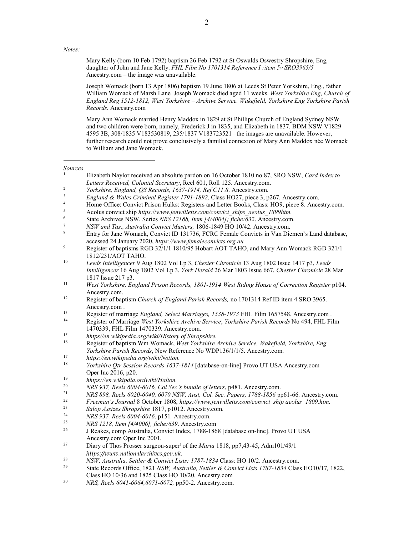Notes:

Mary Kelly (born 10 Feb 1792) baptism 26 Feb 1792 at St Oswalds Oswestry Shropshire, Eng, daughter of John and Jane Kelly. FHL Film No 1701314 Reference I :item 5v SRO3965/5 Ancestry.com – the image was unavailable.

Joseph Womack (born 13 Apr 1806) baptism 19 June 1806 at Leeds St Peter Yorkshire, Eng., father William Womack of Marsh Lane. Joseph Womack died aged 11 weeks. West Yorkshire Eng, Church of England Reg 1512-1812, West Yorkshire – Archive Service. Wakefield, Yorkshire Eng Yorkshire Parish Records. Ancestry.com

Mary Ann Womack married Henry Maddox in 1829 at St Phillips Church of England Sydney NSW and two children were born, namely, Frederick J in 1835, and Elizabeth in 1837. BDM NSW V1829 4595 3B, 308/1835 V183530819, 235/1837 V183723521 –the images are unavailable. However, further research could not prove conclusively a familial connexion of Mary Ann Maddox née Womack to William and Jane Womack.

Sources 1

 $\overline{a}$ 

- Elizabeth Naylor received an absolute pardon on 16 October 1810 no 87, SRO NSW, Card Index to Letters Received, Colonial Secretary, Reel 601, Roll 125. Ancestry.com.
- $\overline{2}$ Yorkshire, England, QS Records, 1637-1914, Ref C11.8. Ancestry.com.
- 3 England & Wales Criminal Register 1791-1892, Class HO27, piece 3, p267. Ancestry.com.
- 4 Home Office: Convict Prison Hulks: Registers and Letter Books, Class: HO9, piece 8. Ancestry.com.
- 5 Aeolus convict ship https://www.jenwilletts.com/convict\_ships\_aeolus\_1899htm.
- 6 State Archives NSW, Series NRS 12188, Item [4/4004]; fiche:632. Ancestry.com.
- 7 NSW and Tas., Australia Convict Musters, 1806-1849 HO 10/42. Ancestry.com.

- $\overline{9}$  Register of baptisms RGD 32/1/1 1810/95 Hobart AOT TAHO, and Mary Ann Womack RGD 321/1 1812/231/AOT TAHO.
- 10 Leeds Intelligencer 9 Aug 1802 Vol Lp 3, Chester Chronicle 13 Aug 1802 Issue 1417 p3, Leeds Intelligencer 16 Aug 1802 Vol Lp 3, York Herald 26 Mar 1803 Issue 667, Chester Chronicle 28 Mar 1817 Issue 217 p3.
- 11 West Yorkshire, England Prison Records, 1801-1914 West Riding House of Correction Register p104. Ancestry.com.
- <sup>12</sup> Register of baptism *Church of England Parish Records*, no 1701314 Ref ID item 4 SRO 3965. Ancestry.com .<br><sup>13</sup> Peqister of mar
- <sup>13</sup><br>
Register of marriage England, Select Marriages, 1538-1973 FHL Film 1657548. Ancestry.com .<br>
Positive Register of Marriage West Verkshine Aughine Service: Verkshine Bayish Regeards No. 404, EUL Ei
- Register of Marriage West Yorkshire Archive Service; Yorkshire Parish Records No 494, FHL Film 1470339, FHL Film 1470339. Ancestry.com.
- 15 <sup>15</sup> hhtps//en.wikipedia.org/wiki/History of Shropshire.<br><sup>16</sup> Pagistor of bantism Wm Womaak, Wast Varkshire.
- Register of baptism Wm Womack, West Yorkshire Archive Service, Wakefield, Yorkshire, Eng Yorkshire Parish Records, New Reference No WDP136/1/1/5. Ancestry.com.
- 17 https://en.wikipedia.org/wiki/Notton.
- 18 Yorkshire Qtr Session Records 1637-1814 [database-on-line] Provo UT USA Ancestry.com Oper Inc 2016, p20.
- 19 hhtps://en.wikipdia.ordwiki/Halton.
- $20$ NRS 937, Reels 6004-6016, Col Sec's bundle of letters, p481. Ancestry.com.
- $21$ NRS 898, Reels 6020-6040, 6070 NSW, Aust, Col. Sec. Papers, 1788-1856 pp61-66. Ancestry.com.
- $22$ Freeman's Journal 8 October 1808, https://www.jenwilletts.com/convict\_ship aeolus\_1809.htm.
- $23$ Salop Assizes Shropshire 1817, p1012. Ancestry.com.
- $24$ NRS 937, Reels 6004-6016, p151. Ancestry.com.
- 25 <sup>25</sup> NRS 1218, Item  $\left[\frac{4}{4006}\right]$ , fiche: 639. Ancestry.com<br><sup>26</sup> I Beakes, some Australia Convict Index, 1788, 186
- <sup>26</sup> J Reakes, comp Australia, Convict Index, 1788-1868 [database on-line]. Provo UT USA Ancestry.com Oper Inc 2001.
- <sup>27</sup> Diary of Thos Prosser surgeon-super<sup>t</sup> of the *Maria* 1818, pp7,43-45, Adm101/49/1 https://www.nationalarchives.gov.uk.
- 28 <sup>28</sup> NSW, Australia, Settler & Convict Lists: 1787-1834 Class: HO 10/2. Ancestry.com.<br><sup>29</sup> State Becords Office, 1821 NSW, Australia, Settler & Convict Lists 1787-1834 Class
- <sup>29</sup> State Records Office, 1821 NSW, Australia, Settler & Convict Lists 1787-1834 Class HO10/17, 1822, Class HO 10/36 and 1825 Class HO 10/20. Ancestry.com
- 30 NRS, Reels 6041-6064,6071-6072, pp50-2. Ancestry.com.

<sup>8</sup> Entry for Jane Womack, Convict ID 131736, FCRC Female Convicts in Van Diemen's Land database, accessed 24 January 2020, https://www.femaleconvicts.org.au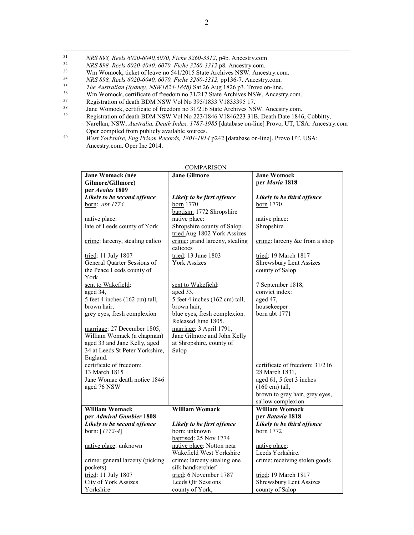- <sup>31</sup> NRS 898, Reels 6020-6040,6070, Fiche 3260-3312, p4b. Ancestry.com
- 32  $NRS 898$ , Reels 6020-4040, 6070, Fiche 3260-3312 p8. Ancestry.com.<br>  $N$  Wm Womock, ticket of leave no 541/2015 State Archives NSW, Ances
- <sup>33</sup> Wm Womock, ticket of leave no 541/2015 State Archives NSW. Ancestry.com.<br><sup>34</sup> NBS 808, Bagls 6020-6040, 6070, Ficha 3260-3312, pp136-7, Ancestry.com.
- <sup>34</sup>NRS 898, Reels 6020-6040, 6070, Fiche 3260-3312, pp136-7. Ancestry.com.
- 35  $T_{\text{th}}$  The Australian (Sydney, NSW1824-1848) Sat 26 Aug 1826 p3. Trove on-line.<br>
Wm Womock certificate of freedom no 31/217 State Archives NSW Ancestr
- <sup>36</sup> Wm Womock, certificate of freedom no 31/217 State Archives NSW. Ancestry.com.<br><sup>37</sup> Registration of death RDM NSW Vol No 395/1833 V1833395 17
- <sup>37</sup> Registration of death BDM NSW Vol No 395/1833 V1833395 17.<br><sup>38</sup> Igna Wompek, certificate of freedom no 31/216 State Archives NS.
- <sup>38</sup> Jane Womock, certificate of freedom no 31/216 State Archives NSW. Ancestry.com.<br><sup>39</sup> Registration of death BDM NSW Vol No 223/1846 V1846223 31B. Death Date 1846
- <sup>39</sup> Registration of death BDM NSW Vol No 223/1846 V1846223 31B. Death Date 1846, Cobbitty, Narellan, NSW, Australia, Death Index, 1787-1985 [database on-line] Provo, UT, USA: Ancestry.com Oper compiled from publicly available sources.
- 40 West Yorkshire, Eng Prison Records, 1801-1914 p242 [database on-line]. Provo UT, USA: Ancestry.com. Oper Inc 2014.

| COMPARISON                      |                                |                                |  |
|---------------------------------|--------------------------------|--------------------------------|--|
| Jane Womack (née                | <b>Jane Gilmore</b>            | <b>Jane Womock</b>             |  |
| Gilmore/Gillmore)               |                                | per Maria 1818                 |  |
| per Aeolus 1809                 |                                |                                |  |
| Likely to be second offence     | Likely to be first offence     | Likely to be third offence     |  |
| born: abt 1773                  | born 1770                      | born 1770                      |  |
|                                 | baptism: 1772 Shropshire       |                                |  |
| native place:                   | native place:                  | native place:                  |  |
| late of Leeds county of York    | Shropshire county of Salop.    | Shropshire                     |  |
|                                 | tried Aug 1802 York Assizes    |                                |  |
| crime: larceny, stealing calico | crime: grand larceny, stealing | crime: larceny &c from a shop  |  |
|                                 | calicoes                       |                                |  |
| tried: $11$ July $1807$         | tried: $13$ June $1803$        | tried: 19 March 1817           |  |
| General Quarter Sessions of     | <b>York Assizes</b>            | Shrewsbury Lent Assizes        |  |
| the Peace Leeds county of       |                                | county of Salop                |  |
| York                            |                                |                                |  |
| sent to Wakefield:              | sent to Wakefield:             | 7 September 1818,              |  |
| aged 34,                        | aged 33,                       | convict index:                 |  |
| 5 feet 4 inches (162 cm) tall,  | 5 feet 4 inches (162 cm) tall, | aged 47,                       |  |
| brown hair.                     | brown hair,                    | housekeeper                    |  |
| grey eyes, fresh complexion     | blue eyes, fresh complexion.   | born abt 1771                  |  |
|                                 | Released June 1805.            |                                |  |
| marriage: 27 December 1805,     | marriage: 3 April 1791,        |                                |  |
| William Womack (a chapman)      | Jane Gilmore and John Kelly    |                                |  |
| aged 33 and Jane Kelly, aged    | at Shropshire, county of       |                                |  |
| 34 at Leeds St Peter Yorkshire, | Salop                          |                                |  |
| England.                        |                                |                                |  |
| certificate of freedom:         |                                | certificate of freedom: 31/216 |  |
| 13 March 1815                   |                                | 28 March 1831,                 |  |
| Jane Womac death notice 1846    |                                | aged 61, 5 feet 3 inches       |  |
| aged 76 NSW                     |                                | $(160 \text{ cm})$ tall,       |  |
|                                 |                                | brown to grey hair, grey eyes, |  |
|                                 |                                | sallow complexion              |  |
| <b>William Womack</b>           | <b>William Womack</b>          | <b>William Womock</b>          |  |
| per Admiral Gambier 1808        |                                | per <i>Batavia</i> 1818        |  |
| Likely to be second offence     | Likely to be first offence     | Likely to be third offence     |  |
| born: $[1772-4]$                | born: unknown                  | born 1772                      |  |
|                                 | baptised: 25 Nov 1774          |                                |  |
| native place: unknown           | native place: Notton near      | native place:                  |  |
|                                 | Wakefield West Yorkshire       | Leeds Yorkshire.               |  |
| crime: general larceny (picking | crime: larceny stealing one    | crime: receiving stolen goods  |  |
| pockets)                        | silk handkerchief              |                                |  |
| tried: 11 July 1807             | tried: 6 November 1787         | tried: 19 March 1817           |  |
| City of York Assizes            | Leeds Qtr Sessions             | Shrewsbury Lent Assizes        |  |
| Yorkshire                       | county of York,                | county of Salop                |  |
|                                 |                                |                                |  |

COMPARISON